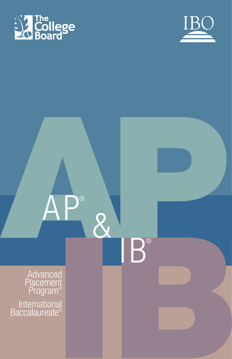



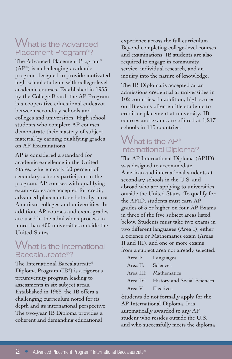## What is the Advanced Placement Program®?

The Advanced Placement Program® (AP®) is a challenging academic program designed to provide motivated high school students with college-level academic courses. Established in 1955 by the College Board, the AP Program is a cooperative educational endeavor between secondary schools and colleges and universities. High school students who complete AP courses demonstrate their mastery of subject material by earning qualifying grades on AP Examinations.

AP is considered a standard for academic excellence in the United States, where nearly 60 percent of secondary schools participate in the program. AP courses with qualifying exam grades are accepted for credit, advanced placement, or both, by most American colleges and universities. In addition, AP courses and exam grades are used in the admissions process in more than 400 universities outside the United States.

## What is the International Baccalaureate®?

The International Baccalaureate® Diploma Program (IB®) is a rigorous preuniversity program leading to assessments in six subject areas. Established in 1968, the IB offers a challenging curriculum noted for its depth and its international perspective. The two-year IB Diploma provides a coherent and demanding educational

experience across the full curriculum. Beyond completing college-level courses and examinations, IB students are also required to engage in community service, individual research, and an inquiry into the nature of knowledge.

The IB Diploma is accepted as an admissions credential at universities in 102 countries. In addition, high scores on IB exams often entitle students to credit or placement at university. IB courses and exams are offered at 1,217 schools in 113 countries.

## What is the AP® International Diploma?

The AP International Diploma (APID) was designed to accommodate American and international students at secondary schools in the U.S. and abroad who are applying to universities outside the United States. To qualify for the APID, students must earn AP grades of 3 or higher on four AP Exams in three of the five subject areas listed below. Students must take two exams in two different languages (Area I), either a Science or Mathematics exam (Areas II and III), and one or more exams from a subject area not already selected.

|                   | Area I: Languages                    |
|-------------------|--------------------------------------|
| Area II: Sciences |                                      |
|                   | Area III: Mathematics                |
|                   | Area IV: History and Social Sciences |
| Area V: Electives |                                      |

Students do not formally apply for the AP International Diploma. It is automatically awarded to any AP student who resides outside the U.S. and who successfully meets the diploma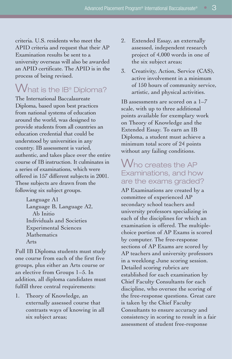criteria. U.S. residents who meet the APID criteria and request that their AP Examination results be sent to a university overseas will also be awarded an APID certificate. The APID is in the process of being revised.

## $V$ hat is the IB® Diploma?

The International Baccalaureate Diploma, based upon best practices from national systems of education around the world, was designed to provide students from all countries an education credential that could be understood by universities in any country. IB assessment is varied, authentic, and takes place over the entire course of IB instruction. It culminates in a series of examinations, which were offered in 157 different subjects in 2001. These subjects are drawn from the following six subject groups.

> Language A1 Language B, Language A2, Ab Initio Individuals and Societies Experimental Sciences Mathematics Arts

Full IB Diploma students must study one course from each of the first five groups, plus either an Arts course or an elective from Groups 1–5. In addition, all diploma candidates must fulfill three central requirements:

1. Theory of Knowledge, an externally assessed course that contrasts ways of knowing in all six subject areas;

- 2. Extended Essay, an externally assessed, independent research project of 4,000 words in one of the six subject areas;
- 3. Creativity, Action, Service (CAS), active involvement in a minimum of 150 hours of community service, artistic, and physical activities.

IB assessments are scored on a 1–7 scale, with up to three additional points available for exemplary work on Theory of Knowledge and the Extended Essay. To earn an IB Diploma, a student must achieve a minimum total score of 24 points without any failing conditions.

## Who creates the AP Examinations, and how are the exams graded?

AP Examinations are created by a committee of experienced AP secondary school teachers and university professors specializing in each of the disciplines for which an examination is offered. The multiplechoice portion of AP Exams is scored by computer. The free-response sections of AP Exams are scored by AP teachers and university professors in a weeklong June scoring session. Detailed scoring rubrics are established for each examination by Chief Faculty Consultants for each discipline, who oversee the scoring of the free-response questions. Great care is taken by the Chief Faculty Consultants to ensure accuracy and consistency in scoring to result in a fair assessment of student free-response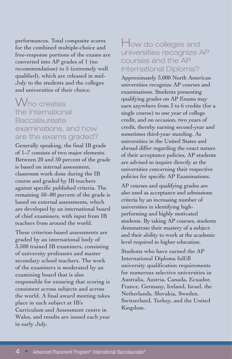performances. Total composite scores for the combined multiple-choice and free-response portions of the exams are converted into AP grades of 1 (no recommendation) to 5 (extremely well qualified), which are released in mid-July to the students and the colleges and universities of their choice.

## Who creates the International **Baccalaureate** examinations, and how are the exams graded?

Generally speaking, the final IB grade of 1–7 consists of two major elements. Between 20 and 50 percent of the grade is based on internal assessment, classroom work done during the IB course and graded by IB teachers against specific published criteria. The remaining 50–80 percent of the grade is based on external assessments, which are developed by an international board of chief examiners, with input from IB teachers from around the world.

These criterion-based assessments are graded by an international body of 3,500 trained IB examiners, consisting of university professors and master secondary school teachers. The work of the examiners is moderated by an examining board that is also responsible for ensuring that scoring is consistent across subjects and across the world. A final award meeting takes place in each subject at IB's Curriculum and Assessment centre in Wales, and results are issued each year in early July.

## How do colleges and universities recognize AP courses and the AP International Diploma?

Approximately 3,000 North American universities recognize AP courses and examinations. Students presenting qualifying grades on AP Exams may earn anywhere from 3 to 6 credits (for a single course) to one year of college credit, and on occasion, two years of credit, thereby earning second-year and sometimes third-year standing. As universities in the United States and abroad differ regarding the exact nature of their acceptance policies, AP students are advised to inquire directly at the universities concerning their respective policies for specific AP Examinations.

AP courses and qualifying grades are also used as acceptance and admissions criteria by an increasing number of universities in identifying highperforming and highly motivated students. By taking AP courses, students demonstrate their mastery of a subject and their ability to work at the academic level required in higher education.

Students who have earned the AP International Diploma fulfill university qualification requirements for numerous selective universities in Australia, Austria, Canada, Ecuador, France, Germany, Ireland, Israel, the Netherlands, Slovakia, Sweden, Switzerland, Turkey, and the United Kingdom.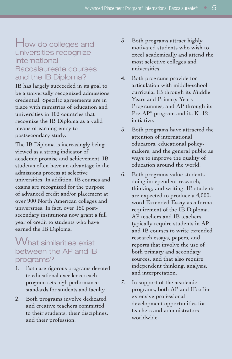## How do colleges and universities recognize International Baccalaureate courses and the IB Diploma?

IB has largely succeeded in its goal to be a universally recognized admissions credential. Specific agreements are in place with ministries of education and universities in 102 countries that recognize the IB Diploma as a valid means of earning entry to postsecondary study.

The IB Diploma is increasingly being viewed as a strong indicator of academic promise and achievement. IB students often have an advantage in the admissions process at selective universities. In addition, IB courses and exams are recognized for the purpose of advanced credit and/or placement at over 900 North American colleges and universities. In fact, over 150 postsecondary institutions now grant a full year of credit to students who have earned the IB Diploma.

## What similarities exist between the AP and IB programs?

- 1. Both are rigorous programs devoted to educational excellence; each program sets high performance standards for students and faculty.
- 2. Both programs involve dedicated and creative teachers committed to their students, their disciplines, and their profession.
- 3. Both programs attract highly motivated students who wish to excel academically and attend the most selective colleges and universities.
- 4. Both programs provide for articulation with middle-school curricula, IB through its Middle Years and Primary Years Programmes, and AP through its Pre-AP® program and its K–12 initiative.
- 5. Both programs have attracted the attention of international educators, educational policymakers, and the general public as ways to improve the quality of education around the world.
- 6. Both programs value students doing independent research, thinking, and writing. IB students are expected to produce a 4,000 word Extended Essay as a formal requirement of the IB Diploma. AP teachers and IB teachers typically require students in AP and IB courses to write extended research essays, papers, and reports that involve the use of both primary and secondary sources, and that also require independent thinking, analysis, and interpretation.
- 7. In support of the academic programs, both AP and IB offer extensive professional development opportunities for teachers and administrators worldwide.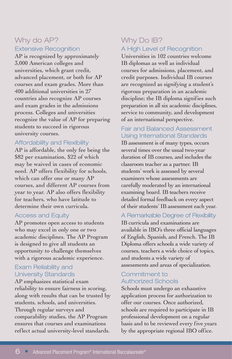#### Why do AP? Extensive Recognition

AP is recognized by approximately 3,000 American colleges and universities, which grant credit, advanced placement, or both for AP courses and exam grades. More than 400 additional universities in 27 countries also recognize AP courses and exam grades in the admissions process. Colleges and universities recognize the value of AP for preparing students to succeed in rigorous university courses.

#### Affordability and Flexibility

AP is affordable, the only fee being the \$82 per examination, \$22 of which may be waived in cases of economic need. AP offers flexibility for schools, which can offer one or many AP courses, and different AP courses from year to year. AP also offers flexibility for teachers, who have latitude to determine their own curricula.

#### Access and Equity

AP promotes open access to students who may excel in only one or two academic disciplines. The AP Program is designed to give all students an opportunity to challenge themselves with a rigorous academic experience.

#### Exam Reliability and University Standards

AP emphasizes statistical exam reliability to ensure fairness in scoring, along with results that can be trusted by students, schools, and universities. Through regular surveys and comparability studies, the AP Program ensures that courses and examinations reflect actual university-level standards.

#### Why Do IB? A High Level of Recognition

Universities in 102 countries welcome IB diplomas as well as individual courses for admissions, placement, and credit purposes. Individual IB courses are recognized as signifying a student's rigorous preparation in an academic discipline; the IB diploma signifies such preparation in all six academic disciplines, service to community, and development of an international perspective.

#### Fair and Balanced Assessment Using International Standards

IB assessment is of many types, occurs several times over the usual two-year duration of IB courses, and includes the classroom teacher as a partner. IB students' work is assessed by several examiners whose assessments are carefully moderated by an international examining board. IB teachers receive detailed formal feedback on every aspect of their students' IB assessment each year.

A Remarkable Degree of Flexibility IB curricula and examinations are available in IBO's three official languages of English, Spanish, and French. The IB Diploma offers schools a wide variety of courses, teachers a wide choice of topics, and students a wide variety of assessments and areas of specialization.

#### Commitment to Authorized Schools

Schools must undergo an exhaustive application process for authorization to offer our courses. Once authorized, schools are required to participate in IB professional development on a regular basis and to be reviewed every five years by the appropriate regional IBO office.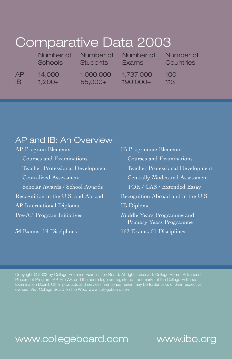# Comparative Data 2003

|     | Number of | Number of    | Number of    | Number of |
|-----|-----------|--------------|--------------|-----------|
|     | Schools   | Students     | <b>Exams</b> | Countries |
| АP  | $14,000+$ | $1,000,000+$ | $1,737,000+$ | 100       |
| IB. | $1,200+$  | 55,000+      | $190,000+$   | $-113$    |

## AP and IB: An Overview

Courses and Examinations Courses and Examinations Scholar Awards / School Awards TOK / CAS / Extended Essay Recognition in the U.S. and Abroad Recognition Abroad and in the U.S. AP International Diploma **IB Diploma** Pre-AP Program Initiatives Middle Years Programme and

AP Program Elements **IB Programme Elements** Teacher Professional Development Teacher Professional Development Centralized Assessment Centrally Moderated Assessment Primary Years Programme 34 Exams, 19 Disciplines 162 Exams, 51 Disciplines

Placement Program, AP, Pre-AP, and the acorn logo are registered trademarks of the College Entrance Examination Board. Other products and services mentioned herein may be trademarks of their respective

## www.collegeboard.com

www.ibo.org